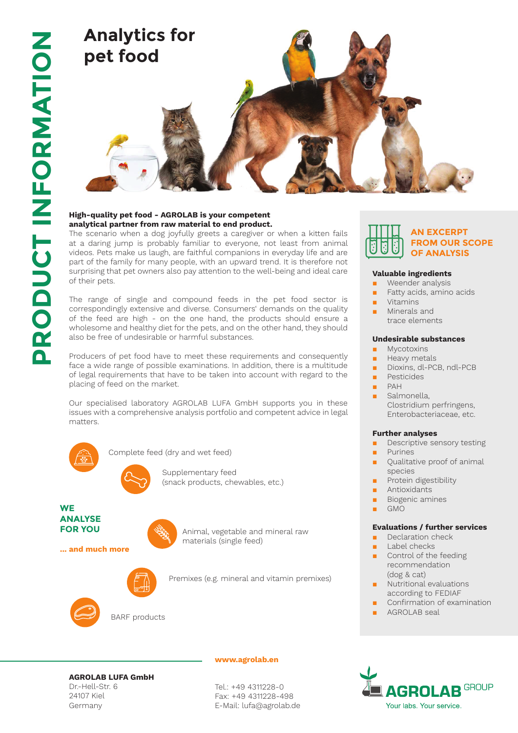

## **High-quality pet food - AGROLAB is your competent analytical partner from raw material to end product.**

The scenario when a dog joyfully greets a caregiver or when a kitten fails at a daring jump is probably familiar to everyone, not least from animal videos. Pets make us laugh, are faithful companions in everyday life and are part of the family for many people, with an upward trend. It is therefore not surprising that pet owners also pay attention to the well-being and ideal care of their pets.

The range of single and compound feeds in the pet food sector is correspondingly extensive and diverse. Consumers' demands on the quality of the feed are high - on the one hand, the products should ensure a wholesome and healthy diet for the pets, and on the other hand, they should also be free of undesirable or harmful substances.

Producers of pet food have to meet these requirements and consequently face a wide range of possible examinations. In addition, there is a multitude of legal requirements that have to be taken into account with regard to the placing of feed on the market.

Our specialised laboratory AGROLAB LUFA GmbH supports you in these issues with a comprehensive analysis portfolio and competent advice in legal matters.



Complete feed (dry and wet feed)



**WE FOR YOU**

**... and much more** 

Animal, vegetable and mineral raw materials (single feed)



Premixes (e.g. mineral and vitamin premixes)



**www.agrolab.en**

Tel.: +49 4311228-0 Fax: +49 4311228-498 E-Mail: lufa@agrolab.de



#### **Valuable ingredients**

- Weender analysis
- Fatty acids, amino acids
- **Vitamins** 
	- Minerals and trace elements

### **Undesirable substances**

- **Mycotoxins**
- Heavy metals
- Dioxins, dl-PCB, ndl-PCB
- **Pesticides**
- PAH
	- Salmonella. Clostridium perfringens, Enterobacteriaceae, etc.

#### **Further analyses**

- Descriptive sensory testing
- **Purines** Qualitative proof of animal
- species
- Protein digestibility
- Antioxidants
- Biogenic amines
- GMO

### **Evaluations / further services**

- Declaration check
- Label checks
- Control of the feeding recommendation (dog & cat)
- Nutritional evaluations according to FEDIAF
- Confirmation of examination
- AGROLAB seal



# **AGROLAB LUFA GmbH**

Dr.-Hell-Str. 6 24107 Kiel Germany